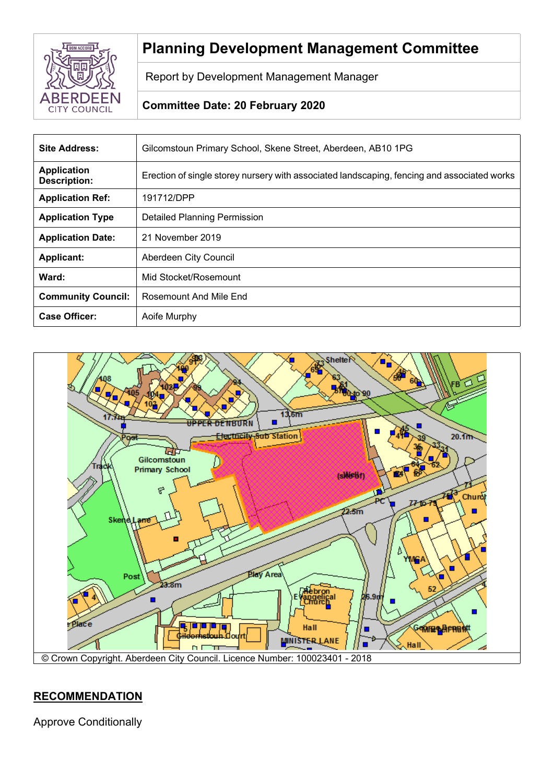

# **Planning Development Management Committee**

Report by Development Management Manager

# **Committee Date: 20 February 2020**

| <b>Site Address:</b>                      | Gilcomstoun Primary School, Skene Street, Aberdeen, AB10 1PG                                |
|-------------------------------------------|---------------------------------------------------------------------------------------------|
| <b>Application</b><br><b>Description:</b> | Erection of single storey nursery with associated landscaping, fencing and associated works |
| <b>Application Ref:</b>                   | 191712/DPP                                                                                  |
| <b>Application Type</b>                   | Detailed Planning Permission                                                                |
| <b>Application Date:</b>                  | 21 November 2019                                                                            |
| <b>Applicant:</b>                         | Aberdeen City Council                                                                       |
| Ward:                                     | Mid Stocket/Rosemount                                                                       |
| <b>Community Council:</b>                 | Rosemount And Mile End                                                                      |
| <b>Case Officer:</b>                      | Aoife Murphy                                                                                |



# **RECOMMENDATION**

Approve Conditionally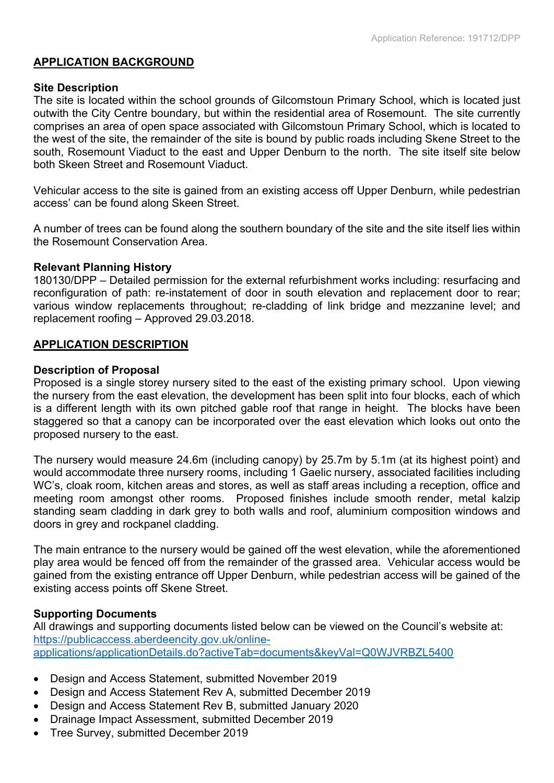## **APPLICATION BACKGROUND**

## **Site Description**

The site is located within the school grounds of Gilcomstoun Primary School, which is located just outwith the City Centre boundary, but within the residential area of Rosemount. The site currently comprises an area of open space associated with Gilcomstoun Primary School, which is located to the west of the site, the remainder of the site is bound by public roads including Skene Street to the south. Rosemount Viaduct to the east and Upper Denburn to the north. The site itself site below both Skeen Street and Rosemount Viaduct.

Vehicular access to the site is gained from an existing access off Upper Denburn, while pedestrian access' can be found along Skeen Street.

A number of trees can be found along the southern boundary of the site and the site itself lies within the Rosemount Conservation Area.

## **Relevant Planning History**

180130/DPP – Detailed permission for the external refurbishment works including: resurfacing and reconfiguration of path: re-instatement of door in south elevation and replacement door to rear; various window replacements throughout; re-cladding of link bridge and mezzanine level; and replacement roofing – Approved 29.03.2018.

## **APPLICATION DESCRIPTION**

## **Description of Proposal**

Proposed is a single storey nursery sited to the east of the existing primary school. Upon viewing the nursery from the east elevation, the development has been split into four blocks, each of which is a different length with its own pitched gable roof that range in height. The blocks have been staggered so that a canopy can be incorporated over the east elevation which looks out onto the proposed nursery to the east.

The nursery would measure 24.6m (including canopy) by 25.7m by 5.1m (at its highest point) and would accommodate three nursery rooms, including 1 Gaelic nursery, associated facilities including WC's, cloak room, kitchen areas and stores, as well as staff areas including a reception, office and meeting room amongst other rooms. Proposed finishes include smooth render, metal kalzip standing seam cladding in dark grey to both walls and roof, aluminium composition windows and doors in grey and rockpanel cladding.

The main entrance to the nursery would be gained off the west elevation, while the aforementioned play area would be fenced off from the remainder of the grassed area. Vehicular access would be gained from the existing entrance off Upper Denburn, while pedestrian access will be gained of the existing access points off Skene Street.

## **Supporting Documents**

All drawings and supporting documents listed below can be viewed on the Council's website at: [https://publicaccess.aberdeencity.gov.uk/online](https://publicaccess.aberdeencity.gov.uk/online-applications/applicationDetails.do?activeTab=documents&keyVal=Q0WJVRBZL5400)[applications/applicationDetails.do?activeTab=documents&keyVal=Q0WJVRBZL5400](https://publicaccess.aberdeencity.gov.uk/online-applications/applicationDetails.do?activeTab=documents&keyVal=Q0WJVRBZL5400)

- Design and Access Statement, submitted November 2019
- Design and Access Statement Rev A, submitted December 2019
- Design and Access Statement Rev B, submitted January 2020
- Drainage Impact Assessment, submitted December 2019
- Tree Survey, submitted December 2019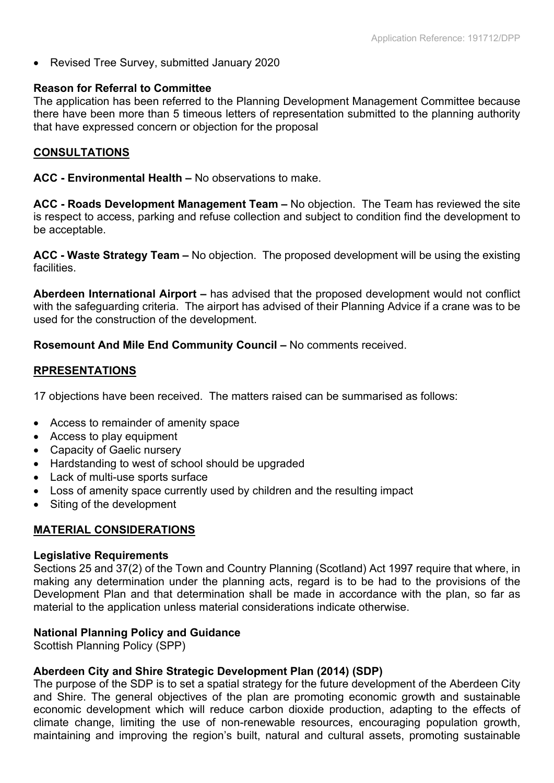Revised Tree Survey, submitted January 2020

## **Reason for Referral to Committee**

The application has been referred to the Planning Development Management Committee because there have been more than 5 timeous letters of representation submitted to the planning authority that have expressed concern or objection for the proposal

## **CONSULTATIONS**

**ACC - Environmental Health –** No observations to make.

**ACC - Roads Development Management Team –** No objection. The Team has reviewed the site is respect to access, parking and refuse collection and subject to condition find the development to be acceptable.

**ACC - Waste Strategy Team –** No objection. The proposed development will be using the existing facilities.

**Aberdeen International Airport –** has advised that the proposed development would not conflict with the safeguarding criteria. The airport has advised of their Planning Advice if a crane was to be used for the construction of the development.

**Rosemount And Mile End Community Council –** No comments received.

## **RPRESENTATIONS**

17 objections have been received. The matters raised can be summarised as follows:

- Access to remainder of amenity space
- Access to play equipment
- Capacity of Gaelic nursery
- Hardstanding to west of school should be upgraded
- Lack of multi-use sports surface
- Loss of amenity space currently used by children and the resulting impact
- Siting of the development

# **MATERIAL CONSIDERATIONS**

#### **Legislative Requirements**

Sections 25 and 37(2) of the Town and Country Planning (Scotland) Act 1997 require that where, in making any determination under the planning acts, regard is to be had to the provisions of the Development Plan and that determination shall be made in accordance with the plan, so far as material to the application unless material considerations indicate otherwise.

## **National Planning Policy and Guidance**

Scottish Planning Policy (SPP)

## **Aberdeen City and Shire Strategic Development Plan (2014) (SDP)**

The purpose of the SDP is to set a spatial strategy for the future development of the Aberdeen City and Shire. The general objectives of the plan are promoting economic growth and sustainable economic development which will reduce carbon dioxide production, adapting to the effects of climate change, limiting the use of non-renewable resources, encouraging population growth, maintaining and improving the region's built, natural and cultural assets, promoting sustainable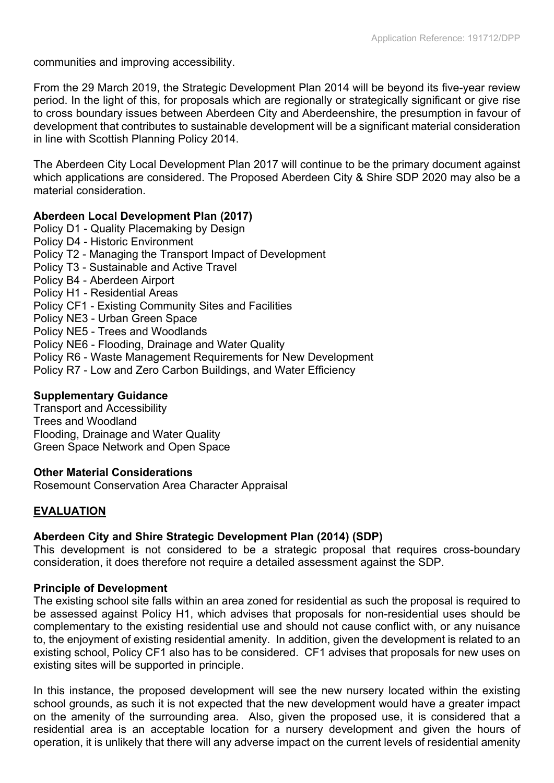communities and improving accessibility.

From the 29 March 2019, the Strategic Development Plan 2014 will be beyond its five-year review period. In the light of this, for proposals which are regionally or strategically significant or give rise to cross boundary issues between Aberdeen City and Aberdeenshire, the presumption in favour of development that contributes to sustainable development will be a significant material consideration in line with Scottish Planning Policy 2014.

The Aberdeen City Local Development Plan 2017 will continue to be the primary document against which applications are considered. The Proposed Aberdeen City & Shire SDP 2020 may also be a material consideration.

## **Aberdeen Local Development Plan (2017)**

- Policy D1 Quality Placemaking by Design
- Policy D4 Historic Environment
- Policy T2 Managing the Transport Impact of Development
- Policy T3 Sustainable and Active Travel
- Policy B4 Aberdeen Airport
- Policy H1 Residential Areas
- Policy CF1 Existing Community Sites and Facilities
- Policy NE3 Urban Green Space
- Policy NE5 Trees and Woodlands
- Policy NE6 Flooding, Drainage and Water Quality
- Policy R6 Waste Management Requirements for New Development
- Policy R7 Low and Zero Carbon Buildings, and Water Efficiency

## **Supplementary Guidance**

Transport and Accessibility Trees and Woodland Flooding, Drainage and Water Quality Green Space Network and Open Space

## **Other Material Considerations**

Rosemount Conservation Area Character Appraisal

## **EVALUATION**

## **Aberdeen City and Shire Strategic Development Plan (2014) (SDP)**

This development is not considered to be a strategic proposal that requires cross-boundary consideration, it does therefore not require a detailed assessment against the SDP.

## **Principle of Development**

The existing school site falls within an area zoned for residential as such the proposal is required to be assessed against Policy H1, which advises that proposals for non-residential uses should be complementary to the existing residential use and should not cause conflict with, or any nuisance to, the enjoyment of existing residential amenity. In addition, given the development is related to an existing school, Policy CF1 also has to be considered. CF1 advises that proposals for new uses on existing sites will be supported in principle.

In this instance, the proposed development will see the new nursery located within the existing school grounds, as such it is not expected that the new development would have a greater impact on the amenity of the surrounding area. Also, given the proposed use, it is considered that a residential area is an acceptable location for a nursery development and given the hours of operation, it is unlikely that there will any adverse impact on the current levels of residential amenity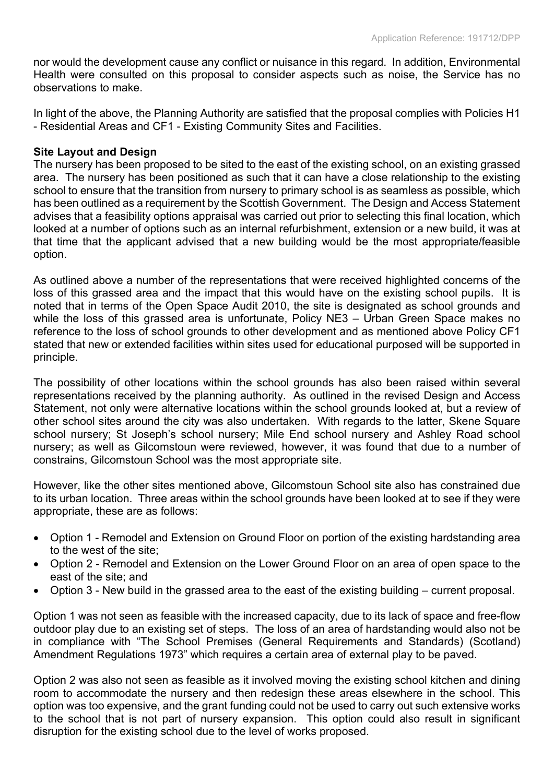nor would the development cause any conflict or nuisance in this regard. In addition, Environmental Health were consulted on this proposal to consider aspects such as noise, the Service has no observations to make.

In light of the above, the Planning Authority are satisfied that the proposal complies with Policies H1 - Residential Areas and CF1 - Existing Community Sites and Facilities.

## **Site Layout and Design**

The nursery has been proposed to be sited to the east of the existing school, on an existing grassed area. The nursery has been positioned as such that it can have a close relationship to the existing school to ensure that the transition from nursery to primary school is as seamless as possible, which has been outlined as a requirement by the Scottish Government. The Design and Access Statement advises that a feasibility options appraisal was carried out prior to selecting this final location, which looked at a number of options such as an internal refurbishment, extension or a new build, it was at that time that the applicant advised that a new building would be the most appropriate/feasible option.

As outlined above a number of the representations that were received highlighted concerns of the loss of this grassed area and the impact that this would have on the existing school pupils. It is noted that in terms of the Open Space Audit 2010, the site is designated as school grounds and while the loss of this grassed area is unfortunate, Policy NE3 – Urban Green Space makes no reference to the loss of school grounds to other development and as mentioned above Policy CF1 stated that new or extended facilities within sites used for educational purposed will be supported in principle.

The possibility of other locations within the school grounds has also been raised within several representations received by the planning authority. As outlined in the revised Design and Access Statement, not only were alternative locations within the school grounds looked at, but a review of other school sites around the city was also undertaken. With regards to the latter, Skene Square school nursery; St Joseph's school nursery; Mile End school nursery and Ashley Road school nursery; as well as Gilcomstoun were reviewed, however, it was found that due to a number of constrains, Gilcomstoun School was the most appropriate site.

However, like the other sites mentioned above, Gilcomstoun School site also has constrained due to its urban location. Three areas within the school grounds have been looked at to see if they were appropriate, these are as follows:

- Option 1 Remodel and Extension on Ground Floor on portion of the existing hardstanding area to the west of the site;
- Option 2 Remodel and Extension on the Lower Ground Floor on an area of open space to the east of the site; and
- Option 3 New build in the grassed area to the east of the existing building current proposal.

Option 1 was not seen as feasible with the increased capacity, due to its lack of space and free-flow outdoor play due to an existing set of steps. The loss of an area of hardstanding would also not be in compliance with "The School Premises (General Requirements and Standards) (Scotland) Amendment Regulations 1973" which requires a certain area of external play to be paved.

Option 2 was also not seen as feasible as it involved moving the existing school kitchen and dining room to accommodate the nursery and then redesign these areas elsewhere in the school. This option was too expensive, and the grant funding could not be used to carry out such extensive works to the school that is not part of nursery expansion. This option could also result in significant disruption for the existing school due to the level of works proposed.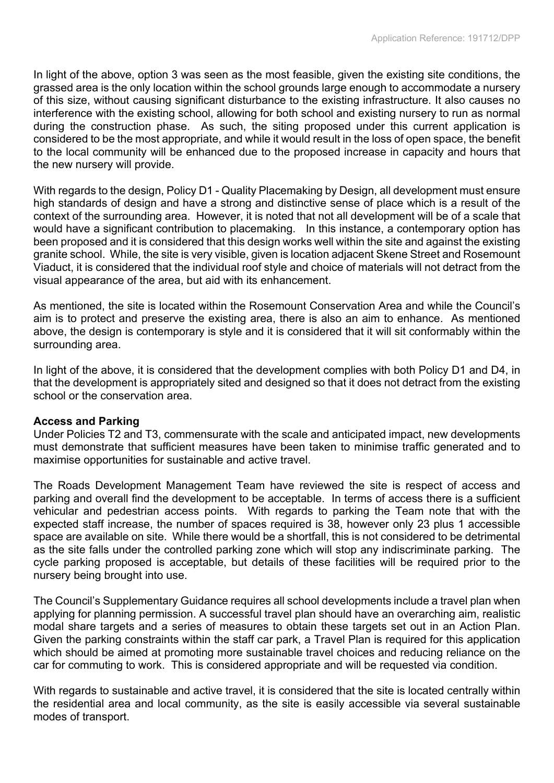In light of the above, option 3 was seen as the most feasible, given the existing site conditions, the grassed area is the only location within the school grounds large enough to accommodate a nursery of this size, without causing significant disturbance to the existing infrastructure. It also causes no interference with the existing school, allowing for both school and existing nursery to run as normal during the construction phase. As such, the siting proposed under this current application is considered to be the most appropriate, and while it would result in the loss of open space, the benefit to the local community will be enhanced due to the proposed increase in capacity and hours that the new nursery will provide.

With regards to the design, Policy D1 - Quality Placemaking by Design, all development must ensure high standards of design and have a strong and distinctive sense of place which is a result of the context of the surrounding area. However, it is noted that not all development will be of a scale that would have a significant contribution to placemaking. In this instance, a contemporary option has been proposed and it is considered that this design works well within the site and against the existing granite school. While, the site is very visible, given is location adjacent Skene Street and Rosemount Viaduct, it is considered that the individual roof style and choice of materials will not detract from the visual appearance of the area, but aid with its enhancement.

As mentioned, the site is located within the Rosemount Conservation Area and while the Council's aim is to protect and preserve the existing area, there is also an aim to enhance. As mentioned above, the design is contemporary is style and it is considered that it will sit conformably within the surrounding area.

In light of the above, it is considered that the development complies with both Policy D1 and D4, in that the development is appropriately sited and designed so that it does not detract from the existing school or the conservation area.

#### **Access and Parking**

Under Policies T2 and T3, commensurate with the scale and anticipated impact, new developments must demonstrate that sufficient measures have been taken to minimise traffic generated and to maximise opportunities for sustainable and active travel.

The Roads Development Management Team have reviewed the site is respect of access and parking and overall find the development to be acceptable. In terms of access there is a sufficient vehicular and pedestrian access points. With regards to parking the Team note that with the expected staff increase, the number of spaces required is 38, however only 23 plus 1 accessible space are available on site. While there would be a shortfall, this is not considered to be detrimental as the site falls under the controlled parking zone which will stop any indiscriminate parking. The cycle parking proposed is acceptable, but details of these facilities will be required prior to the nursery being brought into use.

The Council's Supplementary Guidance requires all school developments include a travel plan when applying for planning permission. A successful travel plan should have an overarching aim, realistic modal share targets and a series of measures to obtain these targets set out in an Action Plan. Given the parking constraints within the staff car park, a Travel Plan is required for this application which should be aimed at promoting more sustainable travel choices and reducing reliance on the car for commuting to work. This is considered appropriate and will be requested via condition.

With regards to sustainable and active travel, it is considered that the site is located centrally within the residential area and local community, as the site is easily accessible via several sustainable modes of transport.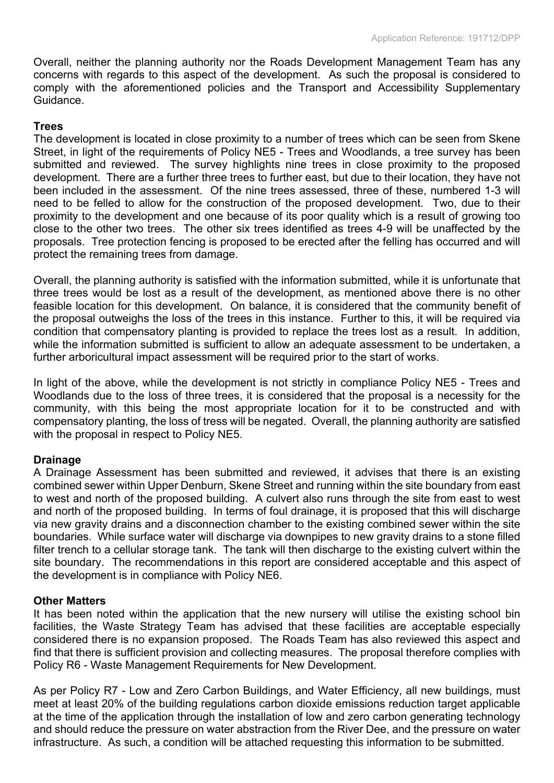Overall, neither the planning authority nor the Roads Development Management Team has any concerns with regards to this aspect of the development. As such the proposal is considered to comply with the aforementioned policies and the Transport and Accessibility Supplementary Guidance.

## **Trees**

The development is located in close proximity to a number of trees which can be seen from Skene Street, in light of the requirements of Policy NE5 - Trees and Woodlands, a tree survey has been submitted and reviewed. The survey highlights nine trees in close proximity to the proposed development. There are a further three trees to further east, but due to their location, they have not been included in the assessment. Of the nine trees assessed, three of these, numbered 1-3 will need to be felled to allow for the construction of the proposed development. Two, due to their proximity to the development and one because of its poor quality which is a result of growing too close to the other two trees. The other six trees identified as trees 4-9 will be unaffected by the proposals. Tree protection fencing is proposed to be erected after the felling has occurred and will protect the remaining trees from damage.

Overall, the planning authority is satisfied with the information submitted, while it is unfortunate that three trees would be lost as a result of the development, as mentioned above there is no other feasible location for this development. On balance, it is considered that the community benefit of the proposal outweighs the loss of the trees in this instance. Further to this, it will be required via condition that compensatory planting is provided to replace the trees lost as a result. In addition, while the information submitted is sufficient to allow an adequate assessment to be undertaken, a further arboricultural impact assessment will be required prior to the start of works.

In light of the above, while the development is not strictly in compliance Policy NE5 - Trees and Woodlands due to the loss of three trees, it is considered that the proposal is a necessity for the community, with this being the most appropriate location for it to be constructed and with compensatory planting, the loss of tress will be negated. Overall, the planning authority are satisfied with the proposal in respect to Policy NE5.

## **Drainage**

A Drainage Assessment has been submitted and reviewed, it advises that there is an existing combined sewer within Upper Denburn, Skene Street and running within the site boundary from east to west and north of the proposed building. A culvert also runs through the site from east to west and north of the proposed building. In terms of foul drainage, it is proposed that this will discharge via new gravity drains and a disconnection chamber to the existing combined sewer within the site boundaries. While surface water will discharge via downpipes to new gravity drains to a stone filled filter trench to a cellular storage tank. The tank will then discharge to the existing culvert within the site boundary. The recommendations in this report are considered acceptable and this aspect of the development is in compliance with Policy NE6.

## **Other Matters**

It has been noted within the application that the new nursery will utilise the existing school bin facilities, the Waste Strategy Team has advised that these facilities are acceptable especially considered there is no expansion proposed. The Roads Team has also reviewed this aspect and find that there is sufficient provision and collecting measures. The proposal therefore complies with Policy R6 - Waste Management Requirements for New Development.

As per Policy R7 - Low and Zero Carbon Buildings, and Water Efficiency, all new buildings, must meet at least 20% of the building regulations carbon dioxide emissions reduction target applicable at the time of the application through the installation of low and zero carbon generating technology and should reduce the pressure on water abstraction from the River Dee, and the pressure on water infrastructure. As such, a condition will be attached requesting this information to be submitted.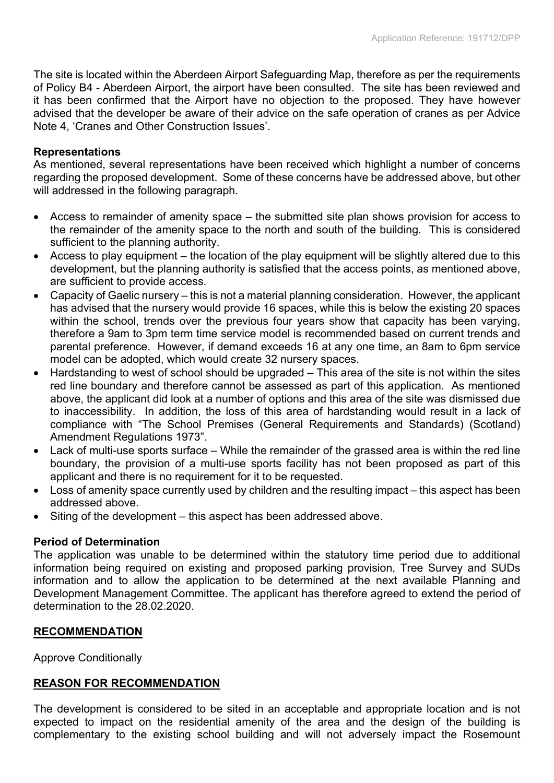The site is located within the Aberdeen Airport Safeguarding Map, therefore as per the requirements of Policy B4 - Aberdeen Airport, the airport have been consulted. The site has been reviewed and it has been confirmed that the Airport have no objection to the proposed. They have however advised that the developer be aware of their advice on the safe operation of cranes as per Advice Note 4, 'Cranes and Other Construction Issues'.

## **Representations**

As mentioned, several representations have been received which highlight a number of concerns regarding the proposed development. Some of these concerns have be addressed above, but other will addressed in the following paragraph.

- Access to remainder of amenity space the submitted site plan shows provision for access to the remainder of the amenity space to the north and south of the building. This is considered sufficient to the planning authority.
- Access to play equipment the location of the play equipment will be slightly altered due to this development, but the planning authority is satisfied that the access points, as mentioned above, are sufficient to provide access.
- Capacity of Gaelic nursery this is not a material planning consideration. However, the applicant has advised that the nursery would provide 16 spaces, while this is below the existing 20 spaces within the school, trends over the previous four years show that capacity has been varying, therefore a 9am to 3pm term time service model is recommended based on current trends and parental preference. However, if demand exceeds 16 at any one time, an 8am to 6pm service model can be adopted, which would create 32 nursery spaces.
- Hardstanding to west of school should be upgraded This area of the site is not within the sites red line boundary and therefore cannot be assessed as part of this application. As mentioned above, the applicant did look at a number of options and this area of the site was dismissed due to inaccessibility. In addition, the loss of this area of hardstanding would result in a lack of compliance with "The School Premises (General Requirements and Standards) (Scotland) Amendment Regulations 1973".
- Lack of multi-use sports surface While the remainder of the grassed area is within the red line boundary, the provision of a multi-use sports facility has not been proposed as part of this applicant and there is no requirement for it to be requested.
- Loss of amenity space currently used by children and the resulting impact this aspect has been addressed above.
- Siting of the development this aspect has been addressed above.

## **Period of Determination**

The application was unable to be determined within the statutory time period due to additional information being required on existing and proposed parking provision, Tree Survey and SUDs information and to allow the application to be determined at the next available Planning and Development Management Committee. The applicant has therefore agreed to extend the period of determination to the 28.02.2020.

## **RECOMMENDATION**

Approve Conditionally

#### **REASON FOR RECOMMENDATION**

The development is considered to be sited in an acceptable and appropriate location and is not expected to impact on the residential amenity of the area and the design of the building is complementary to the existing school building and will not adversely impact the Rosemount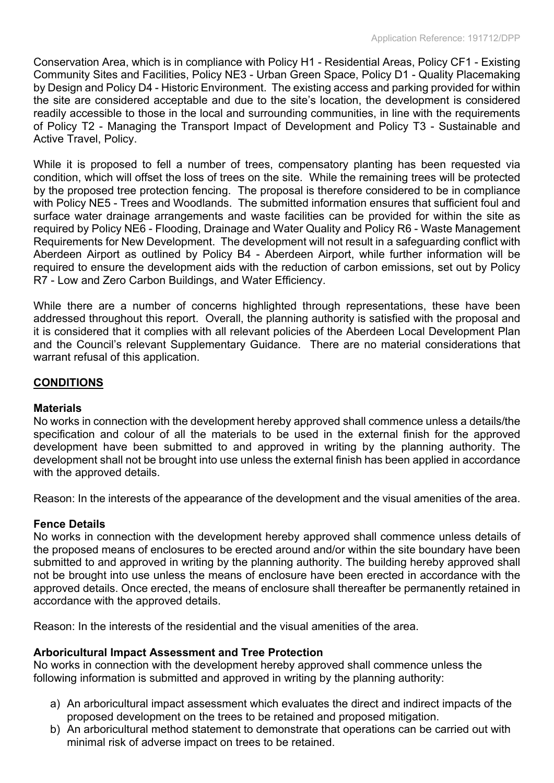Conservation Area, which is in compliance with Policy H1 - Residential Areas, Policy CF1 - Existing Community Sites and Facilities, Policy NE3 - Urban Green Space, Policy D1 - Quality Placemaking by Design and Policy D4 - Historic Environment. The existing access and parking provided for within the site are considered acceptable and due to the site's location, the development is considered readily accessible to those in the local and surrounding communities, in line with the requirements of Policy T2 - Managing the Transport Impact of Development and Policy T3 - Sustainable and Active Travel, Policy.

While it is proposed to fell a number of trees, compensatory planting has been requested via condition, which will offset the loss of trees on the site. While the remaining trees will be protected by the proposed tree protection fencing. The proposal is therefore considered to be in compliance with Policy NE5 - Trees and Woodlands. The submitted information ensures that sufficient foul and surface water drainage arrangements and waste facilities can be provided for within the site as required by Policy NE6 - Flooding, Drainage and Water Quality and Policy R6 - Waste Management Requirements for New Development. The development will not result in a safeguarding conflict with Aberdeen Airport as outlined by Policy B4 - Aberdeen Airport, while further information will be required to ensure the development aids with the reduction of carbon emissions, set out by Policy R7 - Low and Zero Carbon Buildings, and Water Efficiency.

While there are a number of concerns highlighted through representations, these have been addressed throughout this report. Overall, the planning authority is satisfied with the proposal and it is considered that it complies with all relevant policies of the Aberdeen Local Development Plan and the Council's relevant Supplementary Guidance. There are no material considerations that warrant refusal of this application.

## **CONDITIONS**

#### **Materials**

No works in connection with the development hereby approved shall commence unless a details/the specification and colour of all the materials to be used in the external finish for the approved development have been submitted to and approved in writing by the planning authority. The development shall not be brought into use unless the external finish has been applied in accordance with the approved details.

Reason: In the interests of the appearance of the development and the visual amenities of the area.

## **Fence Details**

No works in connection with the development hereby approved shall commence unless details of the proposed means of enclosures to be erected around and/or within the site boundary have been submitted to and approved in writing by the planning authority. The building hereby approved shall not be brought into use unless the means of enclosure have been erected in accordance with the approved details. Once erected, the means of enclosure shall thereafter be permanently retained in accordance with the approved details.

Reason: In the interests of the residential and the visual amenities of the area.

## **Arboricultural Impact Assessment and Tree Protection**

No works in connection with the development hereby approved shall commence unless the following information is submitted and approved in writing by the planning authority:

- a) An arboricultural impact assessment which evaluates the direct and indirect impacts of the proposed development on the trees to be retained and proposed mitigation.
- b) An arboricultural method statement to demonstrate that operations can be carried out with minimal risk of adverse impact on trees to be retained.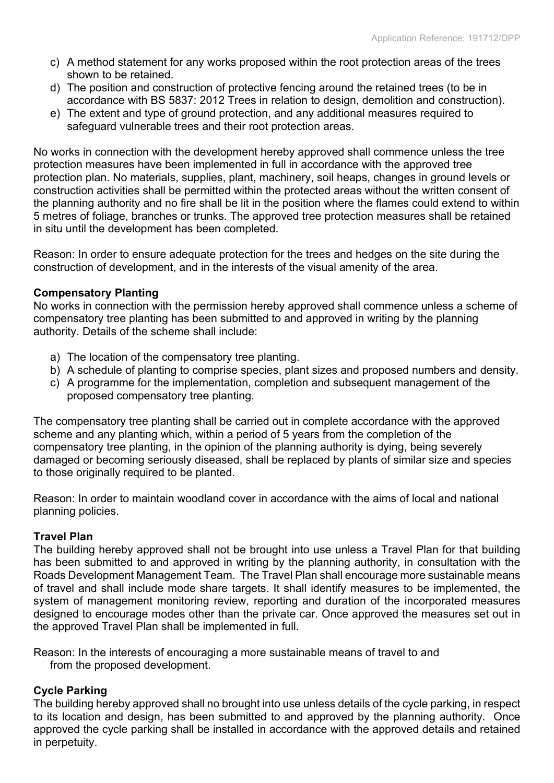- c) A method statement for any works proposed within the root protection areas of the trees shown to be retained.
- d) The position and construction of protective fencing around the retained trees (to be in accordance with BS 5837: 2012 Trees in relation to design, demolition and construction).
- e) The extent and type of ground protection, and any additional measures required to safeguard vulnerable trees and their root protection areas.

No works in connection with the development hereby approved shall commence unless the tree protection measures have been implemented in full in accordance with the approved tree protection plan. No materials, supplies, plant, machinery, soil heaps, changes in ground levels or construction activities shall be permitted within the protected areas without the written consent of the planning authority and no fire shall be lit in the position where the flames could extend to within 5 metres of foliage, branches or trunks. The approved tree protection measures shall be retained in situ until the development has been completed.

Reason: In order to ensure adequate protection for the trees and hedges on the site during the construction of development, and in the interests of the visual amenity of the area.

## **Compensatory Planting**

No works in connection with the permission hereby approved shall commence unless a scheme of compensatory tree planting has been submitted to and approved in writing by the planning authority. Details of the scheme shall include:

- a) The location of the compensatory tree planting.
- b) A schedule of planting to comprise species, plant sizes and proposed numbers and density.
- c) A programme for the implementation, completion and subsequent management of the proposed compensatory tree planting.

The compensatory tree planting shall be carried out in complete accordance with the approved scheme and any planting which, within a period of 5 years from the completion of the compensatory tree planting, in the opinion of the planning authority is dying, being severely damaged or becoming seriously diseased, shall be replaced by plants of similar size and species to those originally required to be planted.

Reason: In order to maintain woodland cover in accordance with the aims of local and national planning policies.

# **Travel Plan**

The building hereby approved shall not be brought into use unless a Travel Plan for that building has been submitted to and approved in writing by the planning authority, in consultation with the Roads Development Management Team. The Travel Plan shall encourage more sustainable means of travel and shall include mode share targets. It shall identify measures to be implemented, the system of management monitoring review, reporting and duration of the incorporated measures designed to encourage modes other than the private car. Once approved the measures set out in the approved Travel Plan shall be implemented in full.

Reason: In the interests of encouraging a more sustainable means of travel to and from the proposed development.

# **Cycle Parking**

The building hereby approved shall no brought into use unless details of the cycle parking, in respect to its location and design, has been submitted to and approved by the planning authority. Once approved the cycle parking shall be installed in accordance with the approved details and retained in perpetuity.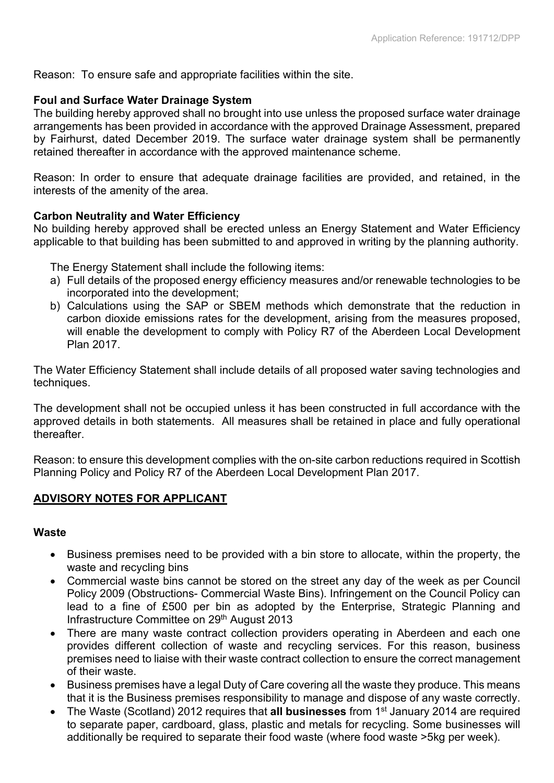Reason: To ensure safe and appropriate facilities within the site.

## **Foul and Surface Water Drainage System**

The building hereby approved shall no brought into use unless the proposed surface water drainage arrangements has been provided in accordance with the approved Drainage Assessment, prepared by Fairhurst, dated December 2019. The surface water drainage system shall be permanently retained thereafter in accordance with the approved maintenance scheme.

Reason: In order to ensure that adequate drainage facilities are provided, and retained, in the interests of the amenity of the area.

## **Carbon Neutrality and Water Efficiency**

No building hereby approved shall be erected unless an Energy Statement and Water Efficiency applicable to that building has been submitted to and approved in writing by the planning authority.

The Energy Statement shall include the following items:

- a) Full details of the proposed energy efficiency measures and/or renewable technologies to be incorporated into the development;
- b) Calculations using the SAP or SBEM methods which demonstrate that the reduction in carbon dioxide emissions rates for the development, arising from the measures proposed, will enable the development to comply with Policy R7 of the Aberdeen Local Development Plan 2017.

The Water Efficiency Statement shall include details of all proposed water saving technologies and techniques.

The development shall not be occupied unless it has been constructed in full accordance with the approved details in both statements. All measures shall be retained in place and fully operational **thereafter** 

Reason: to ensure this development complies with the on-site carbon reductions required in Scottish Planning Policy and Policy R7 of the Aberdeen Local Development Plan 2017.

## **ADVISORY NOTES FOR APPLICANT**

#### **Waste**

- Business premises need to be provided with a bin store to allocate, within the property, the waste and recycling bins
- Commercial waste bins cannot be stored on the street any day of the week as per Council Policy 2009 (Obstructions- Commercial Waste Bins). Infringement on the Council Policy can lead to a fine of £500 per bin as adopted by the Enterprise, Strategic Planning and Infrastructure Committee on 29<sup>th</sup> August 2013
- There are many waste contract collection providers operating in Aberdeen and each one provides different collection of waste and recycling services. For this reason, business premises need to liaise with their waste contract collection to ensure the correct management of their waste.
- Business premises have a legal Duty of Care covering all the waste they produce. This means that it is the Business premises responsibility to manage and dispose of any waste correctly.
- The Waste (Scotland) 2012 requires that **all businesses** from 1 st January 2014 are required to separate paper, cardboard, glass, plastic and metals for recycling. Some businesses will additionally be required to separate their food waste (where food waste >5kg per week).